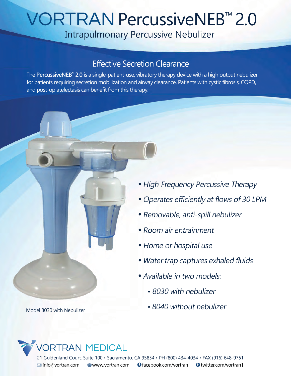## **VORTRAN PercussiveNEB™ 2.0**

Intrapulmonary Percussive Nebulizer

## Effective Secretion Clearance

The **PercussiveNEB™ 2.0** is a single-patient-use, vibratory therapy device with a high output nebulizer for patients requiring secretion mobilization and airway clearance. Patients with cystic fibrosis, COPD, and post-op atelectasis can benefit from this therapy.

- *High Frequency Percussive Therapy*
- *Operates efficiently at flows of 30 LPM*
- *Removable, anti-spill nebulizer*
- *Room air entrainment*
- *Home or hospital use*
- *Water trap captures exhaled fluids*
- *Available in two models:*
	- *8030 with nebulizer*
- Model 8030 with Nebulizer *8040 without nebulizer*

## VORTRAN MEDICAL 21 Goldenland Court, Suite 100 • Sacramento, CA 95834 • PH (800) 434-4034 • FAX (916) 648-9751  $\boxtimes$  info@vortran.com  $\oplus$  www.vortran.com  $\bullet$  facebook.com/vortran  $\bullet$  twitter.com/vortran 1